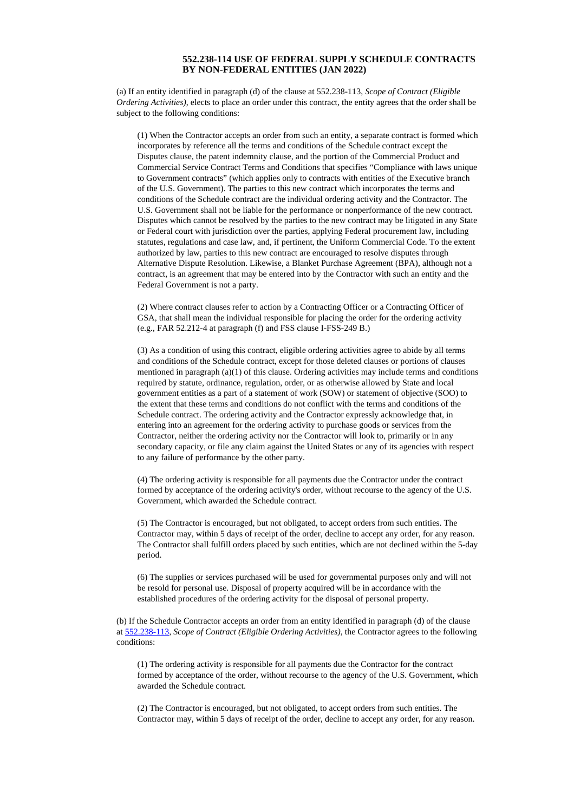## **552.238-114 USE OF FEDERAL SUPPLY SCHEDULE CONTRACTS BY NON-FEDERAL ENTITIES (JAN 2022)**

(a) If an entity identified in paragraph (d) of the clause at 552.238-113, *Scope of Contract (Eligible Ordering Activities)*, elects to place an order under this contract, the entity agrees that the order shall be subject to the following conditions:

(1) When the Contractor accepts an order from such an entity, a separate contract is formed which incorporates by reference all the terms and conditions of the Schedule contract except the Disputes clause, the patent indemnity clause, and the portion of the Commercial Product and Commercial Service Contract Terms and Conditions that specifies "Compliance with laws unique to Government contracts" (which applies only to contracts with entities of the Executive branch of the U.S. Government). The parties to this new contract which incorporates the terms and conditions of the Schedule contract are the individual ordering activity and the Contractor. The U.S. Government shall not be liable for the performance or nonperformance of the new contract. Disputes which cannot be resolved by the parties to the new contract may be litigated in any State or Federal court with jurisdiction over the parties, applying Federal procurement law, including statutes, regulations and case law, and, if pertinent, the Uniform Commercial Code. To the extent authorized by law, parties to this new contract are encouraged to resolve disputes through Alternative Dispute Resolution. Likewise, a Blanket Purchase Agreement (BPA), although not a contract, is an agreement that may be entered into by the Contractor with such an entity and the Federal Government is not a party.

(2) Where contract clauses refer to action by a Contracting Officer or a Contracting Officer of GSA, that shall mean the individual responsible for placing the order for the ordering activity (e.g., FAR 52.212-4 at paragraph (f) and FSS clause I-FSS-249 B.)

(3) As a condition of using this contract, eligible ordering activities agree to abide by all terms and conditions of the Schedule contract, except for those deleted clauses or portions of clauses mentioned in paragraph (a)(1) of this clause. Ordering activities may include terms and conditions required by statute, ordinance, regulation, order, or as otherwise allowed by State and local government entities as a part of a statement of work (SOW) or statement of objective (SOO) to the extent that these terms and conditions do not conflict with the terms and conditions of the Schedule contract. The ordering activity and the Contractor expressly acknowledge that, in entering into an agreement for the ordering activity to purchase goods or services from the Contractor, neither the ordering activity nor the Contractor will look to, primarily or in any secondary capacity, or file any claim against the United States or any of its agencies with respect to any failure of performance by the other party.

(4) The ordering activity is responsible for all payments due the Contractor under the contract formed by acceptance of the ordering activity's order, without recourse to the agency of the U.S. Government, which awarded the Schedule contract.

(5) The Contractor is encouraged, but not obligated, to accept orders from such entities. The Contractor may, within 5 days of receipt of the order, decline to accept any order, for any reason. The Contractor shall fulfill orders placed by such entities, which are not declined within the 5-day period.

(6) The supplies or services purchased will be used for governmental purposes only and will not be resold for personal use. Disposal of property acquired will be in accordance with the established procedures of the ordering activity for the disposal of personal property.

(b) If the Schedule Contractor accepts an order from an entity identified in paragraph (d) of the clause at [552.238-113](https://www.acquisition.gov/content/part-552-solicitation-provisions-and-contract-clauses#id195K8300P4V), *Scope of Contract (Eligible Ordering Activities)*, the Contractor agrees to the following conditions:

(1) The ordering activity is responsible for all payments due the Contractor for the contract formed by acceptance of the order, without recourse to the agency of the U.S. Government, which awarded the Schedule contract.

(2) The Contractor is encouraged, but not obligated, to accept orders from such entities. The Contractor may, within 5 days of receipt of the order, decline to accept any order, for any reason.